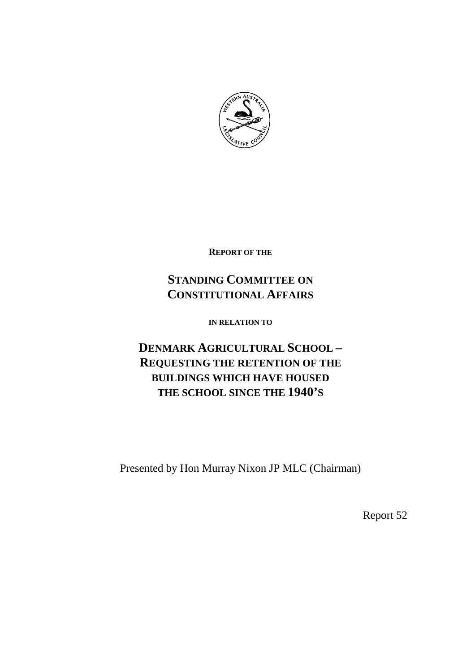

**REPORT OF THE**

# **STANDING COMMITTEE ON CONSTITUTIONAL AFFAIRS**

**IN RELATION TO**

# **DENMARK AGRICULTURAL SCHOOL – REQUESTING THE RETENTION OF THE BUILDINGS WHICH HAVE HOUSED THE SCHOOL SINCE THE 1940'S**

Presented by Hon Murray Nixon JP MLC (Chairman)

Report 52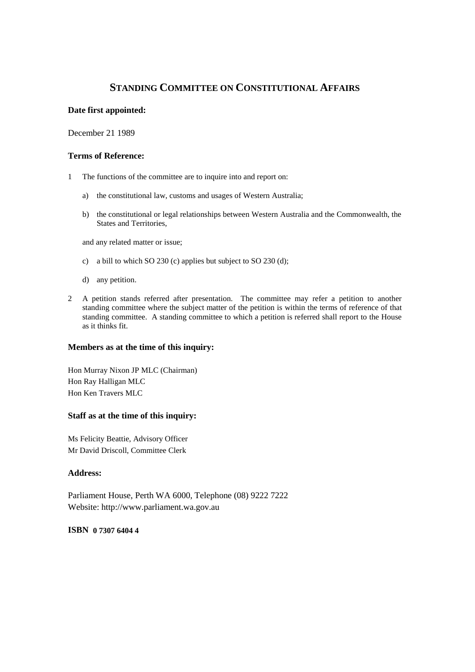# **STANDING COMMITTEE ON CONSTITUTIONAL AFFAIRS**

#### **Date first appointed:**

December 21 1989

#### **Terms of Reference:**

- 1 The functions of the committee are to inquire into and report on:
	- a) the constitutional law, customs and usages of Western Australia;
	- b) the constitutional or legal relationships between Western Australia and the Commonwealth, the States and Territories,

and any related matter or issue;

- c) a bill to which SO 230 (c) applies but subject to SO 230 (d);
- d) any petition.
- 2 A petition stands referred after presentation. The committee may refer a petition to another standing committee where the subject matter of the petition is within the terms of reference of that standing committee. A standing committee to which a petition is referred shall report to the House as it thinks fit.

#### **Members as at the time of this inquiry:**

Hon Murray Nixon JP MLC (Chairman) Hon Ray Halligan MLC Hon Ken Travers MLC

#### **Staff as at the time of this inquiry:**

Ms Felicity Beattie, Advisory Officer Mr David Driscoll, Committee Clerk

#### **Address:**

Parliament House, Perth WA 6000, Telephone (08) 9222 7222 Website: http://www.parliament.wa.gov.au

#### **ISBN 0 7307 6404 4**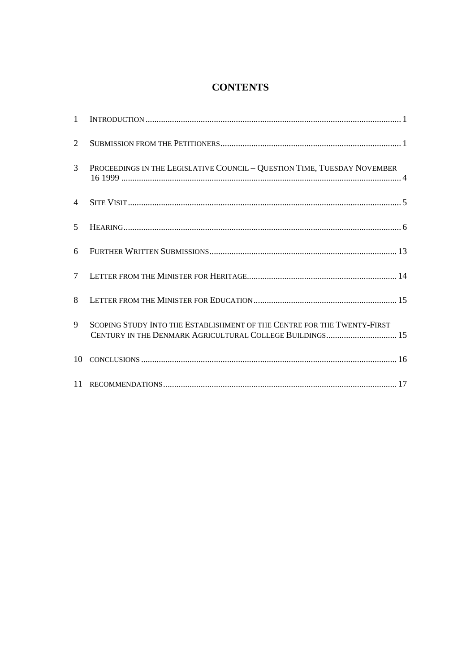# **CONTENTS**

| 1              |                                                                                                                                     |
|----------------|-------------------------------------------------------------------------------------------------------------------------------------|
| 2              |                                                                                                                                     |
| 3              | PROCEEDINGS IN THE LEGISLATIVE COUNCIL - QUESTION TIME, TUESDAY NOVEMBER                                                            |
| $\overline{4}$ |                                                                                                                                     |
| 5              |                                                                                                                                     |
| 6              |                                                                                                                                     |
| $\tau$         |                                                                                                                                     |
| 8              |                                                                                                                                     |
| 9              | SCOPING STUDY INTO THE ESTABLISHMENT OF THE CENTRE FOR THE TWENTY-FIRST<br>CENTURY IN THE DENMARK AGRICULTURAL COLLEGE BUILDINGS 15 |
| 10             |                                                                                                                                     |
|                |                                                                                                                                     |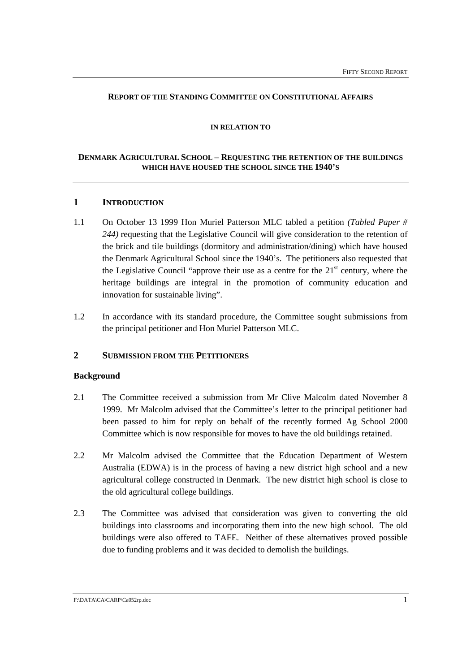#### **REPORT OF THE STANDING COMMITTEE ON CONSTITUTIONAL AFFAIRS**

#### **IN RELATION TO**

## **DENMARK AGRICULTURAL SCHOOL – REQUESTING THE RETENTION OF THE BUILDINGS WHICH HAVE HOUSED THE SCHOOL SINCE THE 1940'S**

## **1 INTRODUCTION**

- 1.1 On October 13 1999 Hon Muriel Patterson MLC tabled a petition *(Tabled Paper # 244)* requesting that the Legislative Council will give consideration to the retention of the brick and tile buildings (dormitory and administration/dining) which have housed the Denmark Agricultural School since the 1940's. The petitioners also requested that the Legislative Council "approve their use as a centre for the  $21<sup>st</sup>$  century, where the heritage buildings are integral in the promotion of community education and innovation for sustainable living".
- 1.2 In accordance with its standard procedure, the Committee sought submissions from the principal petitioner and Hon Muriel Patterson MLC.

## **2 SUBMISSION FROM THE PETITIONERS**

#### **Background**

- 2.1 The Committee received a submission from Mr Clive Malcolm dated November 8 1999. Mr Malcolm advised that the Committee's letter to the principal petitioner had been passed to him for reply on behalf of the recently formed Ag School 2000 Committee which is now responsible for moves to have the old buildings retained.
- 2.2 Mr Malcolm advised the Committee that the Education Department of Western Australia (EDWA) is in the process of having a new district high school and a new agricultural college constructed in Denmark. The new district high school is close to the old agricultural college buildings.
- 2.3 The Committee was advised that consideration was given to converting the old buildings into classrooms and incorporating them into the new high school. The old buildings were also offered to TAFE. Neither of these alternatives proved possible due to funding problems and it was decided to demolish the buildings.

F:\DATA\CA\CARP\Ca052rp.doc 1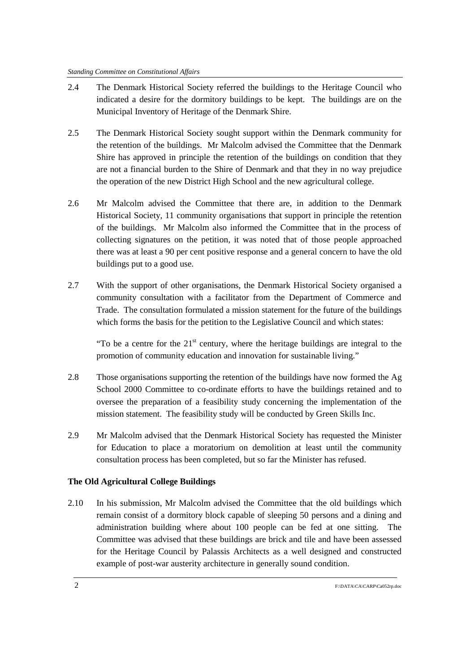- 2.4 The Denmark Historical Society referred the buildings to the Heritage Council who indicated a desire for the dormitory buildings to be kept. The buildings are on the Municipal Inventory of Heritage of the Denmark Shire.
- 2.5 The Denmark Historical Society sought support within the Denmark community for the retention of the buildings. Mr Malcolm advised the Committee that the Denmark Shire has approved in principle the retention of the buildings on condition that they are not a financial burden to the Shire of Denmark and that they in no way prejudice the operation of the new District High School and the new agricultural college.
- 2.6 Mr Malcolm advised the Committee that there are, in addition to the Denmark Historical Society, 11 community organisations that support in principle the retention of the buildings. Mr Malcolm also informed the Committee that in the process of collecting signatures on the petition, it was noted that of those people approached there was at least a 90 per cent positive response and a general concern to have the old buildings put to a good use.
- 2.7 With the support of other organisations, the Denmark Historical Society organised a community consultation with a facilitator from the Department of Commerce and Trade. The consultation formulated a mission statement for the future of the buildings which forms the basis for the petition to the Legislative Council and which states:

"To be a centre for the  $21<sup>st</sup>$  century, where the heritage buildings are integral to the promotion of community education and innovation for sustainable living."

- 2.8 Those organisations supporting the retention of the buildings have now formed the Ag School 2000 Committee to co-ordinate efforts to have the buildings retained and to oversee the preparation of a feasibility study concerning the implementation of the mission statement. The feasibility study will be conducted by Green Skills Inc.
- 2.9 Mr Malcolm advised that the Denmark Historical Society has requested the Minister for Education to place a moratorium on demolition at least until the community consultation process has been completed, but so far the Minister has refused.

#### **The Old Agricultural College Buildings**

2.10 In his submission, Mr Malcolm advised the Committee that the old buildings which remain consist of a dormitory block capable of sleeping 50 persons and a dining and administration building where about 100 people can be fed at one sitting. The Committee was advised that these buildings are brick and tile and have been assessed for the Heritage Council by Palassis Architects as a well designed and constructed example of post-war austerity architecture in generally sound condition.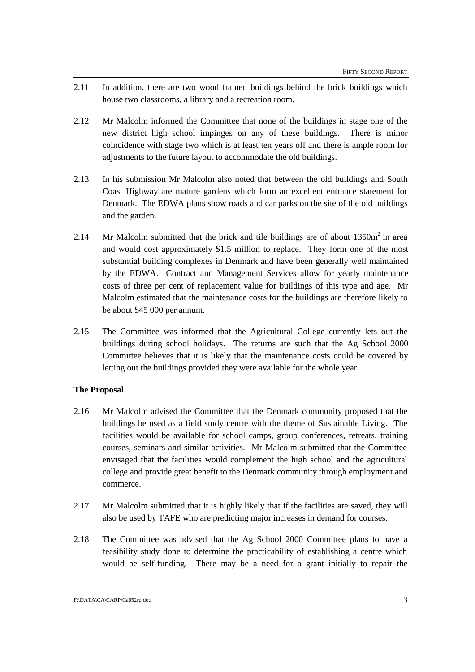- 2.11 In addition, there are two wood framed buildings behind the brick buildings which house two classrooms, a library and a recreation room.
- 2.12 Mr Malcolm informed the Committee that none of the buildings in stage one of the new district high school impinges on any of these buildings. There is minor coincidence with stage two which is at least ten years off and there is ample room for adjustments to the future layout to accommodate the old buildings.
- 2.13 In his submission Mr Malcolm also noted that between the old buildings and South Coast Highway are mature gardens which form an excellent entrance statement for Denmark. The EDWA plans show roads and car parks on the site of the old buildings and the garden.
- 2.14 Mr Malcolm submitted that the brick and tile buildings are of about  $1350m^2$  in area and would cost approximately \$1.5 million to replace. They form one of the most substantial building complexes in Denmark and have been generally well maintained by the EDWA. Contract and Management Services allow for yearly maintenance costs of three per cent of replacement value for buildings of this type and age. Mr Malcolm estimated that the maintenance costs for the buildings are therefore likely to be about \$45 000 per annum.
- 2.15 The Committee was informed that the Agricultural College currently lets out the buildings during school holidays. The returns are such that the Ag School 2000 Committee believes that it is likely that the maintenance costs could be covered by letting out the buildings provided they were available for the whole year.

## **The Proposal**

- 2.16 Mr Malcolm advised the Committee that the Denmark community proposed that the buildings be used as a field study centre with the theme of Sustainable Living. The facilities would be available for school camps, group conferences, retreats, training courses, seminars and similar activities. Mr Malcolm submitted that the Committee envisaged that the facilities would complement the high school and the agricultural college and provide great benefit to the Denmark community through employment and commerce.
- 2.17 Mr Malcolm submitted that it is highly likely that if the facilities are saved, they will also be used by TAFE who are predicting major increases in demand for courses.
- 2.18 The Committee was advised that the Ag School 2000 Committee plans to have a feasibility study done to determine the practicability of establishing a centre which would be self-funding. There may be a need for a grant initially to repair the

F:\DATA\CA\CARP\Ca052rp.doc 3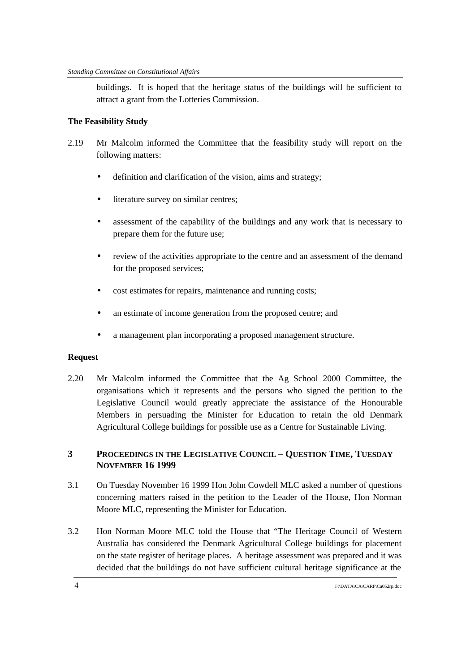buildings. It is hoped that the heritage status of the buildings will be sufficient to attract a grant from the Lotteries Commission.

## **The Feasibility Study**

- 2.19 Mr Malcolm informed the Committee that the feasibility study will report on the following matters:
	- definition and clarification of the vision, aims and strategy;
	- literature survey on similar centres;
	- assessment of the capability of the buildings and any work that is necessary to prepare them for the future use;
	- review of the activities appropriate to the centre and an assessment of the demand for the proposed services;
	- cost estimates for repairs, maintenance and running costs;
	- an estimate of income generation from the proposed centre; and
	- a management plan incorporating a proposed management structure.

## **Request**

2.20 Mr Malcolm informed the Committee that the Ag School 2000 Committee, the organisations which it represents and the persons who signed the petition to the Legislative Council would greatly appreciate the assistance of the Honourable Members in persuading the Minister for Education to retain the old Denmark Agricultural College buildings for possible use as a Centre for Sustainable Living.

# **3 PROCEEDINGS IN THE LEGISLATIVE COUNCIL – QUESTION TIME, TUESDAY NOVEMBER 16 1999**

- 3.1 On Tuesday November 16 1999 Hon John Cowdell MLC asked a number of questions concerning matters raised in the petition to the Leader of the House, Hon Norman Moore MLC, representing the Minister for Education.
- 3.2 Hon Norman Moore MLC told the House that "The Heritage Council of Western Australia has considered the Denmark Agricultural College buildings for placement on the state register of heritage places. A heritage assessment was prepared and it was decided that the buildings do not have sufficient cultural heritage significance at the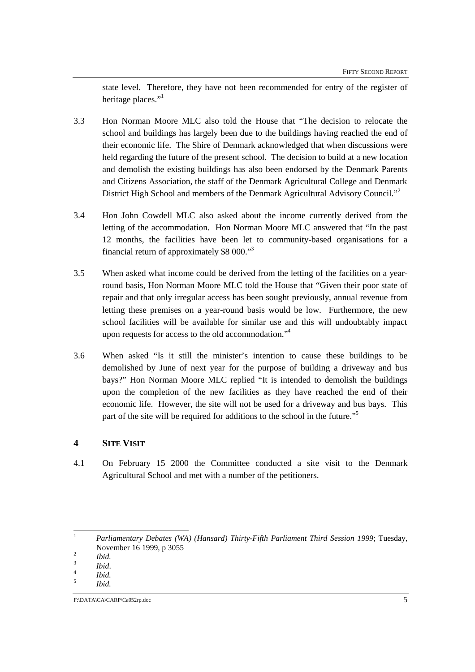state level. Therefore, they have not been recommended for entry of the register of heritage places."

- 3.3 Hon Norman Moore MLC also told the House that "The decision to relocate the school and buildings has largely been due to the buildings having reached the end of their economic life. The Shire of Denmark acknowledged that when discussions were held regarding the future of the present school. The decision to build at a new location and demolish the existing buildings has also been endorsed by the Denmark Parents and Citizens Association, the staff of the Denmark Agricultural College and Denmark District High School and members of the Denmark Agricultural Advisory Council."<sup>2</sup>
- 3.4 Hon John Cowdell MLC also asked about the income currently derived from the letting of the accommodation. Hon Norman Moore MLC answered that "In the past 12 months, the facilities have been let to community-based organisations for a financial return of approximately \$8 000."3
- 3.5 When asked what income could be derived from the letting of the facilities on a yearround basis, Hon Norman Moore MLC told the House that "Given their poor state of repair and that only irregular access has been sought previously, annual revenue from letting these premises on a year-round basis would be low. Furthermore, the new school facilities will be available for similar use and this will undoubtably impact upon requests for access to the old accommodation."4
- 3.6 When asked "Is it still the minister's intention to cause these buildings to be demolished by June of next year for the purpose of building a driveway and bus bays?" Hon Norman Moore MLC replied "It is intended to demolish the buildings upon the completion of the new facilities as they have reached the end of their economic life. However, the site will not be used for a driveway and bus bays. This part of the site will be required for additions to the school in the future."<sup>5</sup>

## **4 SITE VISIT**

4.1 On February 15 2000 the Committee conducted a site visit to the Denmark Agricultural School and met with a number of the petitioners.

 $\mathbf{1}$ <sup>1</sup> *Parliamentary Debates (WA) (Hansard) Thirty-Fifth Parliament Third Session 1999*; Tuesday, November 16 1999, p 3055 <sup>2</sup> *Ibid.* <sup>3</sup> *Ibid*. <sup>4</sup> *Ibid.* <sup>5</sup> *Ibid.*

 $F:\text{DATA}\text{CACARP}\text{Ca}052r_p.\text{doc}$  5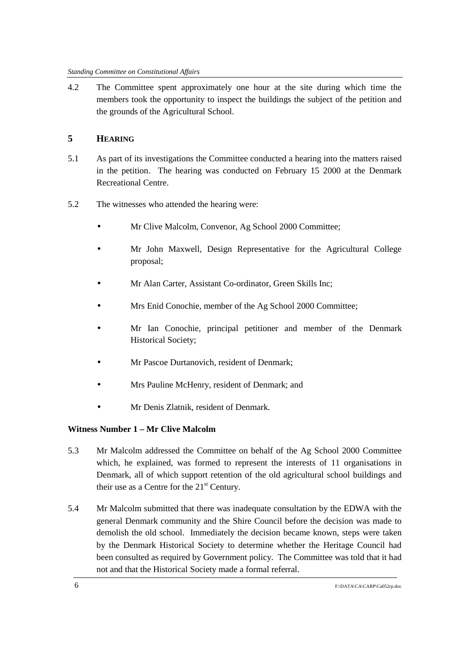4.2 The Committee spent approximately one hour at the site during which time the members took the opportunity to inspect the buildings the subject of the petition and the grounds of the Agricultural School.

# **5 HEARING**

- 5.1 As part of its investigations the Committee conducted a hearing into the matters raised in the petition. The hearing was conducted on February 15 2000 at the Denmark Recreational Centre.
- 5.2 The witnesses who attended the hearing were:
	- Mr Clive Malcolm, Convenor, Ag School 2000 Committee;
	- Mr John Maxwell, Design Representative for the Agricultural College proposal;
	- Mr Alan Carter, Assistant Co-ordinator, Green Skills Inc;
	- Mrs Enid Conochie, member of the Ag School 2000 Committee;
	- Mr Ian Conochie, principal petitioner and member of the Denmark Historical Society;
	- Mr Pascoe Durtanovich, resident of Denmark;
	- Mrs Pauline McHenry, resident of Denmark; and
	- Mr Denis Zlatnik, resident of Denmark.

# **Witness Number 1 – Mr Clive Malcolm**

- 5.3 Mr Malcolm addressed the Committee on behalf of the Ag School 2000 Committee which, he explained, was formed to represent the interests of 11 organisations in Denmark, all of which support retention of the old agricultural school buildings and their use as a Centre for the  $21<sup>st</sup>$  Century.
- 5.4 Mr Malcolm submitted that there was inadequate consultation by the EDWA with the general Denmark community and the Shire Council before the decision was made to demolish the old school. Immediately the decision became known, steps were taken by the Denmark Historical Society to determine whether the Heritage Council had been consulted as required by Government policy. The Committee was told that it had not and that the Historical Society made a formal referral.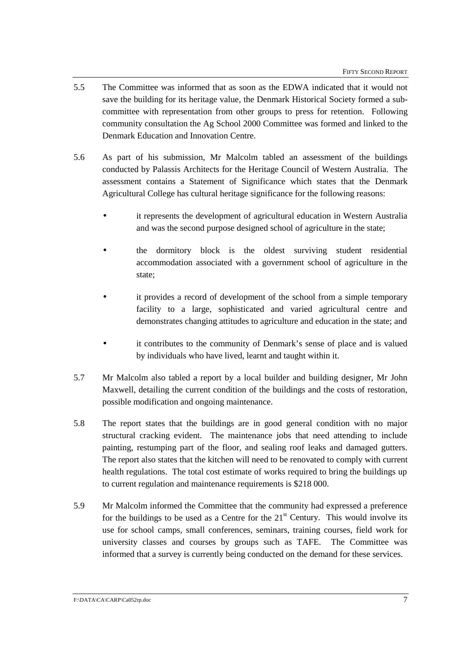- 5.5 The Committee was informed that as soon as the EDWA indicated that it would not save the building for its heritage value, the Denmark Historical Society formed a subcommittee with representation from other groups to press for retention. Following community consultation the Ag School 2000 Committee was formed and linked to the Denmark Education and Innovation Centre.
- 5.6 As part of his submission, Mr Malcolm tabled an assessment of the buildings conducted by Palassis Architects for the Heritage Council of Western Australia. The assessment contains a Statement of Significance which states that the Denmark Agricultural College has cultural heritage significance for the following reasons:
	- it represents the development of agricultural education in Western Australia and was the second purpose designed school of agriculture in the state;
	- the dormitory block is the oldest surviving student residential accommodation associated with a government school of agriculture in the state;
	- it provides a record of development of the school from a simple temporary facility to a large, sophisticated and varied agricultural centre and demonstrates changing attitudes to agriculture and education in the state; and
	- it contributes to the community of Denmark's sense of place and is valued by individuals who have lived, learnt and taught within it.
- 5.7 Mr Malcolm also tabled a report by a local builder and building designer, Mr John Maxwell, detailing the current condition of the buildings and the costs of restoration, possible modification and ongoing maintenance.
- 5.8 The report states that the buildings are in good general condition with no major structural cracking evident. The maintenance jobs that need attending to include painting, restumping part of the floor, and sealing roof leaks and damaged gutters. The report also states that the kitchen will need to be renovated to comply with current health regulations. The total cost estimate of works required to bring the buildings up to current regulation and maintenance requirements is \$218 000.
- 5.9 Mr Malcolm informed the Committee that the community had expressed a preference for the buildings to be used as a Centre for the  $21<sup>st</sup>$  Century. This would involve its use for school camps, small conferences, seminars, training courses, field work for university classes and courses by groups such as TAFE. The Committee was informed that a survey is currently being conducted on the demand for these services.

#### F:\DATA\CA\CARP\Ca052rp.doc 7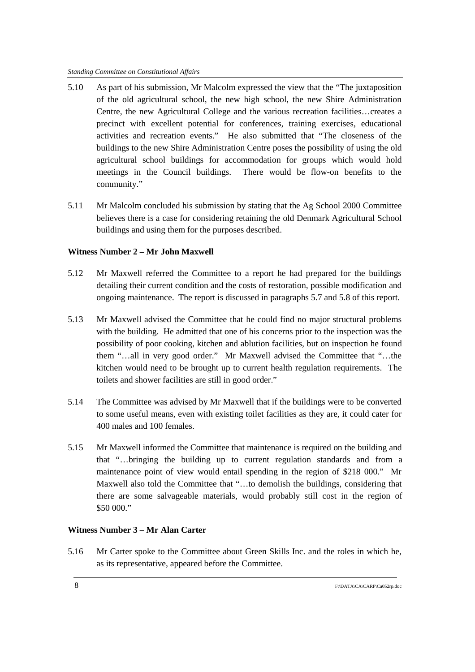- 5.10 As part of his submission, Mr Malcolm expressed the view that the "The juxtaposition of the old agricultural school, the new high school, the new Shire Administration Centre, the new Agricultural College and the various recreation facilities…creates a precinct with excellent potential for conferences, training exercises, educational activities and recreation events." He also submitted that "The closeness of the buildings to the new Shire Administration Centre poses the possibility of using the old agricultural school buildings for accommodation for groups which would hold meetings in the Council buildings. There would be flow-on benefits to the community."
- 5.11 Mr Malcolm concluded his submission by stating that the Ag School 2000 Committee believes there is a case for considering retaining the old Denmark Agricultural School buildings and using them for the purposes described.

## **Witness Number 2 – Mr John Maxwell**

- 5.12 Mr Maxwell referred the Committee to a report he had prepared for the buildings detailing their current condition and the costs of restoration, possible modification and ongoing maintenance. The report is discussed in paragraphs 5.7 and 5.8 of this report.
- 5.13 Mr Maxwell advised the Committee that he could find no major structural problems with the building. He admitted that one of his concerns prior to the inspection was the possibility of poor cooking, kitchen and ablution facilities, but on inspection he found them "…all in very good order." Mr Maxwell advised the Committee that "…the kitchen would need to be brought up to current health regulation requirements. The toilets and shower facilities are still in good order."
- 5.14 The Committee was advised by Mr Maxwell that if the buildings were to be converted to some useful means, even with existing toilet facilities as they are, it could cater for 400 males and 100 females.
- 5.15 Mr Maxwell informed the Committee that maintenance is required on the building and that "…bringing the building up to current regulation standards and from a maintenance point of view would entail spending in the region of \$218 000." Mr Maxwell also told the Committee that "…to demolish the buildings, considering that there are some salvageable materials, would probably still cost in the region of \$50 000."

## **Witness Number 3 – Mr Alan Carter**

5.16 Mr Carter spoke to the Committee about Green Skills Inc. and the roles in which he, as its representative, appeared before the Committee.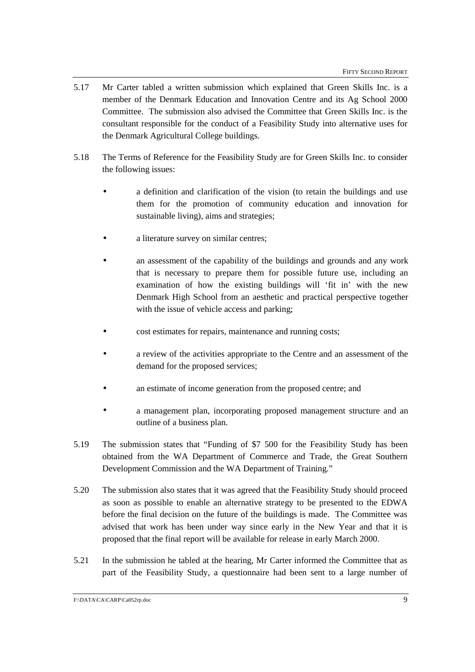- 5.17 Mr Carter tabled a written submission which explained that Green Skills Inc. is a member of the Denmark Education and Innovation Centre and its Ag School 2000 Committee. The submission also advised the Committee that Green Skills Inc. is the consultant responsible for the conduct of a Feasibility Study into alternative uses for the Denmark Agricultural College buildings.
- 5.18 The Terms of Reference for the Feasibility Study are for Green Skills Inc. to consider the following issues:
	- a definition and clarification of the vision (to retain the buildings and use them for the promotion of community education and innovation for sustainable living), aims and strategies;
	- a literature survey on similar centres;
	- an assessment of the capability of the buildings and grounds and any work that is necessary to prepare them for possible future use, including an examination of how the existing buildings will 'fit in' with the new Denmark High School from an aesthetic and practical perspective together with the issue of vehicle access and parking;
	- cost estimates for repairs, maintenance and running costs;
	- a review of the activities appropriate to the Centre and an assessment of the demand for the proposed services;
	- an estimate of income generation from the proposed centre; and
	- a management plan, incorporating proposed management structure and an outline of a business plan.
- 5.19 The submission states that "Funding of \$7 500 for the Feasibility Study has been obtained from the WA Department of Commerce and Trade, the Great Southern Development Commission and the WA Department of Training."
- 5.20 The submission also states that it was agreed that the Feasibility Study should proceed as soon as possible to enable an alternative strategy to be presented to the EDWA before the final decision on the future of the buildings is made. The Committee was advised that work has been under way since early in the New Year and that it is proposed that the final report will be available for release in early March 2000.
- 5.21 In the submission he tabled at the hearing, Mr Carter informed the Committee that as part of the Feasibility Study, a questionnaire had been sent to a large number of

F:\DATA\CA\CARP\Ca052rp.doc 9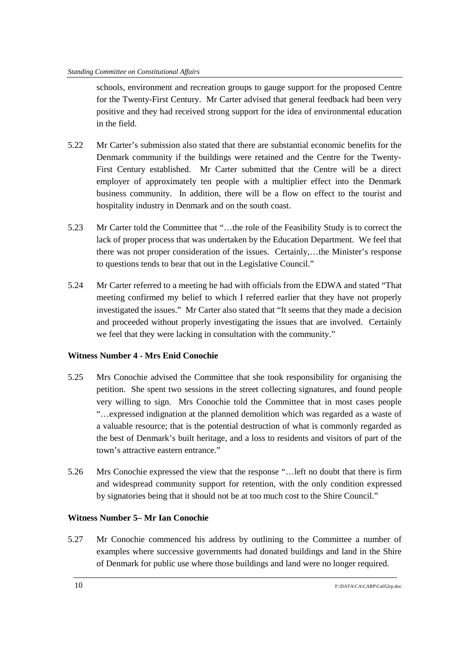schools, environment and recreation groups to gauge support for the proposed Centre for the Twenty-First Century. Mr Carter advised that general feedback had been very positive and they had received strong support for the idea of environmental education in the field.

- 5.22 Mr Carter's submission also stated that there are substantial economic benefits for the Denmark community if the buildings were retained and the Centre for the Twenty-First Century established. Mr Carter submitted that the Centre will be a direct employer of approximately ten people with a multiplier effect into the Denmark business community. In addition, there will be a flow on effect to the tourist and hospitality industry in Denmark and on the south coast.
- 5.23 Mr Carter told the Committee that "…the role of the Feasibility Study is to correct the lack of proper process that was undertaken by the Education Department. We feel that there was not proper consideration of the issues. Certainly,…the Minister's response to questions tends to bear that out in the Legislative Council."
- 5.24 Mr Carter referred to a meeting he had with officials from the EDWA and stated "That meeting confirmed my belief to which I referred earlier that they have not properly investigated the issues." Mr Carter also stated that "It seems that they made a decision and proceeded without properly investigating the issues that are involved. Certainly we feel that they were lacking in consultation with the community."

## **Witness Number 4 - Mrs Enid Conochie**

- 5.25 Mrs Conochie advised the Committee that she took responsibility for organising the petition. She spent two sessions in the street collecting signatures, and found people very willing to sign. Mrs Conochie told the Committee that in most cases people "…expressed indignation at the planned demolition which was regarded as a waste of a valuable resource; that is the potential destruction of what is commonly regarded as the best of Denmark's built heritage, and a loss to residents and visitors of part of the town's attractive eastern entrance."
- 5.26 Mrs Conochie expressed the view that the response "…left no doubt that there is firm and widespread community support for retention, with the only condition expressed by signatories being that it should not be at too much cost to the Shire Council."

## **Witness Number 5– Mr Ian Conochie**

5.27 Mr Conochie commenced his address by outlining to the Committee a number of examples where successive governments had donated buildings and land in the Shire of Denmark for public use where those buildings and land were no longer required.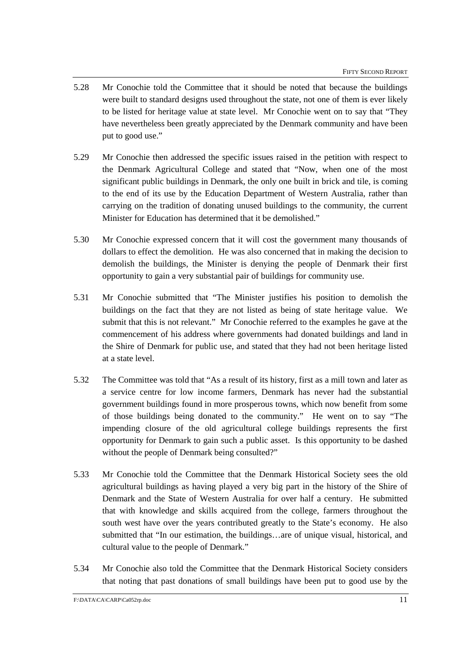- 5.28 Mr Conochie told the Committee that it should be noted that because the buildings were built to standard designs used throughout the state, not one of them is ever likely to be listed for heritage value at state level. Mr Conochie went on to say that "They have nevertheless been greatly appreciated by the Denmark community and have been put to good use."
- 5.29 Mr Conochie then addressed the specific issues raised in the petition with respect to the Denmark Agricultural College and stated that "Now, when one of the most significant public buildings in Denmark, the only one built in brick and tile, is coming to the end of its use by the Education Department of Western Australia, rather than carrying on the tradition of donating unused buildings to the community, the current Minister for Education has determined that it be demolished."
- 5.30 Mr Conochie expressed concern that it will cost the government many thousands of dollars to effect the demolition. He was also concerned that in making the decision to demolish the buildings, the Minister is denying the people of Denmark their first opportunity to gain a very substantial pair of buildings for community use.
- 5.31 Mr Conochie submitted that "The Minister justifies his position to demolish the buildings on the fact that they are not listed as being of state heritage value. We submit that this is not relevant." Mr Conochie referred to the examples he gave at the commencement of his address where governments had donated buildings and land in the Shire of Denmark for public use, and stated that they had not been heritage listed at a state level.
- 5.32 The Committee was told that "As a result of its history, first as a mill town and later as a service centre for low income farmers, Denmark has never had the substantial government buildings found in more prosperous towns, which now benefit from some of those buildings being donated to the community." He went on to say "The impending closure of the old agricultural college buildings represents the first opportunity for Denmark to gain such a public asset. Is this opportunity to be dashed without the people of Denmark being consulted?"
- 5.33 Mr Conochie told the Committee that the Denmark Historical Society sees the old agricultural buildings as having played a very big part in the history of the Shire of Denmark and the State of Western Australia for over half a century. He submitted that with knowledge and skills acquired from the college, farmers throughout the south west have over the years contributed greatly to the State's economy. He also submitted that "In our estimation, the buildings…are of unique visual, historical, and cultural value to the people of Denmark."
- 5.34 Mr Conochie also told the Committee that the Denmark Historical Society considers that noting that past donations of small buildings have been put to good use by the

F:\DATA\CA\CARP\Ca052rp.doc 11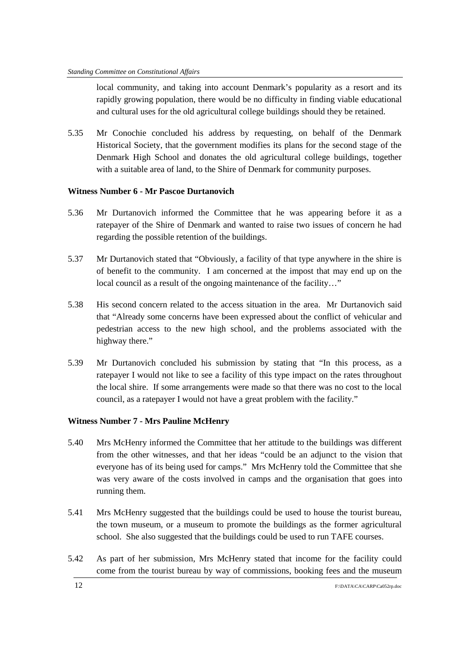local community, and taking into account Denmark's popularity as a resort and its rapidly growing population, there would be no difficulty in finding viable educational and cultural uses for the old agricultural college buildings should they be retained.

5.35 Mr Conochie concluded his address by requesting, on behalf of the Denmark Historical Society, that the government modifies its plans for the second stage of the Denmark High School and donates the old agricultural college buildings, together with a suitable area of land, to the Shire of Denmark for community purposes.

## **Witness Number 6 - Mr Pascoe Durtanovich**

- 5.36 Mr Durtanovich informed the Committee that he was appearing before it as a ratepayer of the Shire of Denmark and wanted to raise two issues of concern he had regarding the possible retention of the buildings.
- 5.37 Mr Durtanovich stated that "Obviously, a facility of that type anywhere in the shire is of benefit to the community. I am concerned at the impost that may end up on the local council as a result of the ongoing maintenance of the facility…"
- 5.38 His second concern related to the access situation in the area. Mr Durtanovich said that "Already some concerns have been expressed about the conflict of vehicular and pedestrian access to the new high school, and the problems associated with the highway there."
- 5.39 Mr Durtanovich concluded his submission by stating that "In this process, as a ratepayer I would not like to see a facility of this type impact on the rates throughout the local shire. If some arrangements were made so that there was no cost to the local council, as a ratepayer I would not have a great problem with the facility."

#### **Witness Number 7 - Mrs Pauline McHenry**

- 5.40 Mrs McHenry informed the Committee that her attitude to the buildings was different from the other witnesses, and that her ideas "could be an adjunct to the vision that everyone has of its being used for camps." Mrs McHenry told the Committee that she was very aware of the costs involved in camps and the organisation that goes into running them.
- 5.41 Mrs McHenry suggested that the buildings could be used to house the tourist bureau, the town museum, or a museum to promote the buildings as the former agricultural school. She also suggested that the buildings could be used to run TAFE courses.
- 5.42 As part of her submission, Mrs McHenry stated that income for the facility could come from the tourist bureau by way of commissions, booking fees and the museum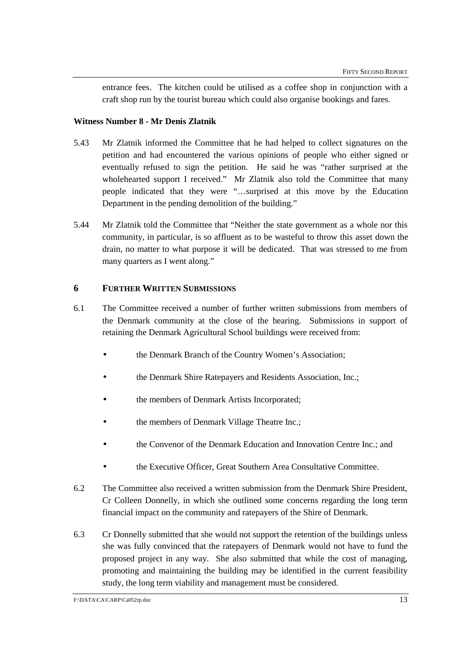entrance fees. The kitchen could be utilised as a coffee shop in conjunction with a craft shop run by the tourist bureau which could also organise bookings and fares.

## **Witness Number 8 - Mr Denis Zlatnik**

- 5.43 Mr Zlatnik informed the Committee that he had helped to collect signatures on the petition and had encountered the various opinions of people who either signed or eventually refused to sign the petition. He said he was "rather surprised at the wholehearted support I received." Mr Zlatnik also told the Committee that many people indicated that they were "…surprised at this move by the Education Department in the pending demolition of the building."
- 5.44 Mr Zlatnik told the Committee that "Neither the state government as a whole nor this community, in particular, is so affluent as to be wasteful to throw this asset down the drain, no matter to what purpose it will be dedicated. That was stressed to me from many quarters as I went along."

## **6 FURTHER WRITTEN SUBMISSIONS**

- 6.1 The Committee received a number of further written submissions from members of the Denmark community at the close of the hearing. Submissions in support of retaining the Denmark Agricultural School buildings were received from:
	- the Denmark Branch of the Country Women's Association;
	- the Denmark Shire Ratepayers and Residents Association, Inc.;
	- the members of Denmark Artists Incorporated;
	- the members of Denmark Village Theatre Inc.;
	- the Convenor of the Denmark Education and Innovation Centre Inc.; and
	- the Executive Officer, Great Southern Area Consultative Committee.
- 6.2 The Committee also received a written submission from the Denmark Shire President, Cr Colleen Donnelly, in which she outlined some concerns regarding the long term financial impact on the community and ratepayers of the Shire of Denmark.
- 6.3 Cr Donnelly submitted that she would not support the retention of the buildings unless she was fully convinced that the ratepayers of Denmark would not have to fund the proposed project in any way. She also submitted that while the cost of managing, promoting and maintaining the building may be identified in the current feasibility study, the long term viability and management must be considered.

 $F:\text{DATA}\text{CACARP}\text{Ca}052r_p.\text{doc}$  13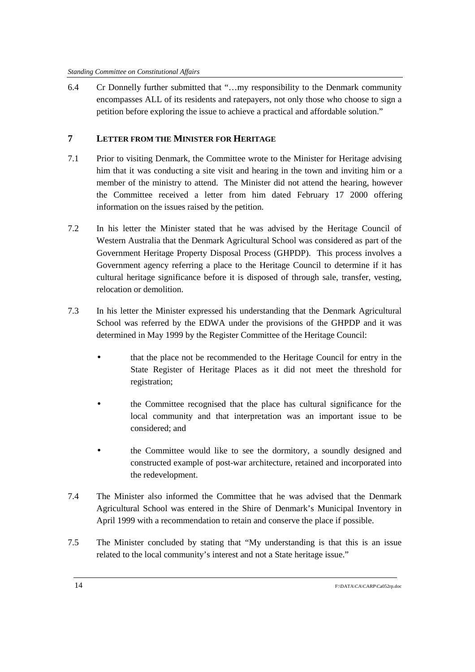6.4 Cr Donnelly further submitted that "…my responsibility to the Denmark community encompasses ALL of its residents and ratepayers, not only those who choose to sign a petition before exploring the issue to achieve a practical and affordable solution."

## **7 LETTER FROM THE MINISTER FOR HERITAGE**

- 7.1 Prior to visiting Denmark, the Committee wrote to the Minister for Heritage advising him that it was conducting a site visit and hearing in the town and inviting him or a member of the ministry to attend. The Minister did not attend the hearing, however the Committee received a letter from him dated February 17 2000 offering information on the issues raised by the petition.
- 7.2 In his letter the Minister stated that he was advised by the Heritage Council of Western Australia that the Denmark Agricultural School was considered as part of the Government Heritage Property Disposal Process (GHPDP). This process involves a Government agency referring a place to the Heritage Council to determine if it has cultural heritage significance before it is disposed of through sale, transfer, vesting, relocation or demolition.
- 7.3 In his letter the Minister expressed his understanding that the Denmark Agricultural School was referred by the EDWA under the provisions of the GHPDP and it was determined in May 1999 by the Register Committee of the Heritage Council:
	- that the place not be recommended to the Heritage Council for entry in the State Register of Heritage Places as it did not meet the threshold for registration;
	- the Committee recognised that the place has cultural significance for the local community and that interpretation was an important issue to be considered; and
	- the Committee would like to see the dormitory, a soundly designed and constructed example of post-war architecture, retained and incorporated into the redevelopment.
- 7.4 The Minister also informed the Committee that he was advised that the Denmark Agricultural School was entered in the Shire of Denmark's Municipal Inventory in April 1999 with a recommendation to retain and conserve the place if possible.
- 7.5 The Minister concluded by stating that "My understanding is that this is an issue related to the local community's interest and not a State heritage issue."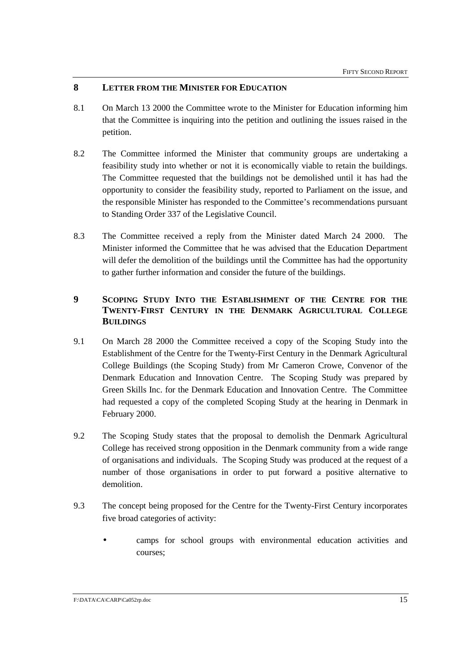## **8 LETTER FROM THE MINISTER FOR EDUCATION**

- 8.1 On March 13 2000 the Committee wrote to the Minister for Education informing him that the Committee is inquiring into the petition and outlining the issues raised in the petition.
- 8.2 The Committee informed the Minister that community groups are undertaking a feasibility study into whether or not it is economically viable to retain the buildings. The Committee requested that the buildings not be demolished until it has had the opportunity to consider the feasibility study, reported to Parliament on the issue, and the responsible Minister has responded to the Committee's recommendations pursuant to Standing Order 337 of the Legislative Council.
- 8.3 The Committee received a reply from the Minister dated March 24 2000. The Minister informed the Committee that he was advised that the Education Department will defer the demolition of the buildings until the Committee has had the opportunity to gather further information and consider the future of the buildings.

# **9 SCOPING STUDY INTO THE ESTABLISHMENT OF THE CENTRE FOR THE TWENTY-FIRST CENTURY IN THE DENMARK AGRICULTURAL COLLEGE BUILDINGS**

- 9.1 On March 28 2000 the Committee received a copy of the Scoping Study into the Establishment of the Centre for the Twenty-First Century in the Denmark Agricultural College Buildings (the Scoping Study) from Mr Cameron Crowe, Convenor of the Denmark Education and Innovation Centre. The Scoping Study was prepared by Green Skills Inc. for the Denmark Education and Innovation Centre. The Committee had requested a copy of the completed Scoping Study at the hearing in Denmark in February 2000.
- 9.2 The Scoping Study states that the proposal to demolish the Denmark Agricultural College has received strong opposition in the Denmark community from a wide range of organisations and individuals. The Scoping Study was produced at the request of a number of those organisations in order to put forward a positive alternative to demolition.
- 9.3 The concept being proposed for the Centre for the Twenty-First Century incorporates five broad categories of activity:
	- camps for school groups with environmental education activities and courses;

#### $F:\text{DATA}\text{CACARP}\text{Ca}052r_p.\text{doc}$  15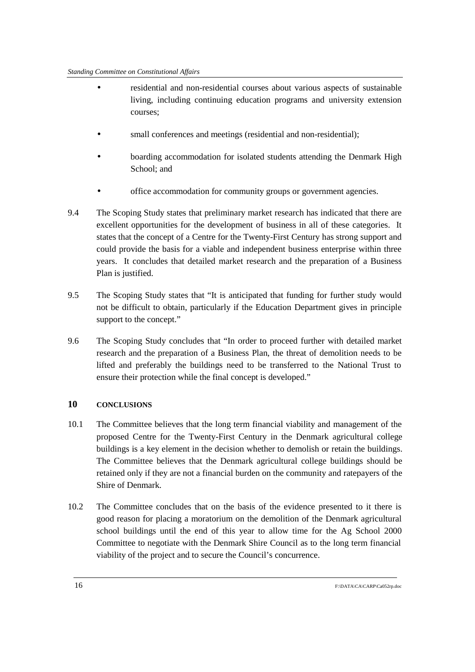- residential and non-residential courses about various aspects of sustainable living, including continuing education programs and university extension courses;
- small conferences and meetings (residential and non-residential);
- boarding accommodation for isolated students attending the Denmark High School; and
- office accommodation for community groups or government agencies.
- 9.4 The Scoping Study states that preliminary market research has indicated that there are excellent opportunities for the development of business in all of these categories. It states that the concept of a Centre for the Twenty-First Century has strong support and could provide the basis for a viable and independent business enterprise within three years. It concludes that detailed market research and the preparation of a Business Plan is justified.
- 9.5 The Scoping Study states that "It is anticipated that funding for further study would not be difficult to obtain, particularly if the Education Department gives in principle support to the concept."
- 9.6 The Scoping Study concludes that "In order to proceed further with detailed market research and the preparation of a Business Plan, the threat of demolition needs to be lifted and preferably the buildings need to be transferred to the National Trust to ensure their protection while the final concept is developed."

# **10 CONCLUSIONS**

- 10.1 The Committee believes that the long term financial viability and management of the proposed Centre for the Twenty-First Century in the Denmark agricultural college buildings is a key element in the decision whether to demolish or retain the buildings. The Committee believes that the Denmark agricultural college buildings should be retained only if they are not a financial burden on the community and ratepayers of the Shire of Denmark.
- 10.2 The Committee concludes that on the basis of the evidence presented to it there is good reason for placing a moratorium on the demolition of the Denmark agricultural school buildings until the end of this year to allow time for the Ag School 2000 Committee to negotiate with the Denmark Shire Council as to the long term financial viability of the project and to secure the Council's concurrence.